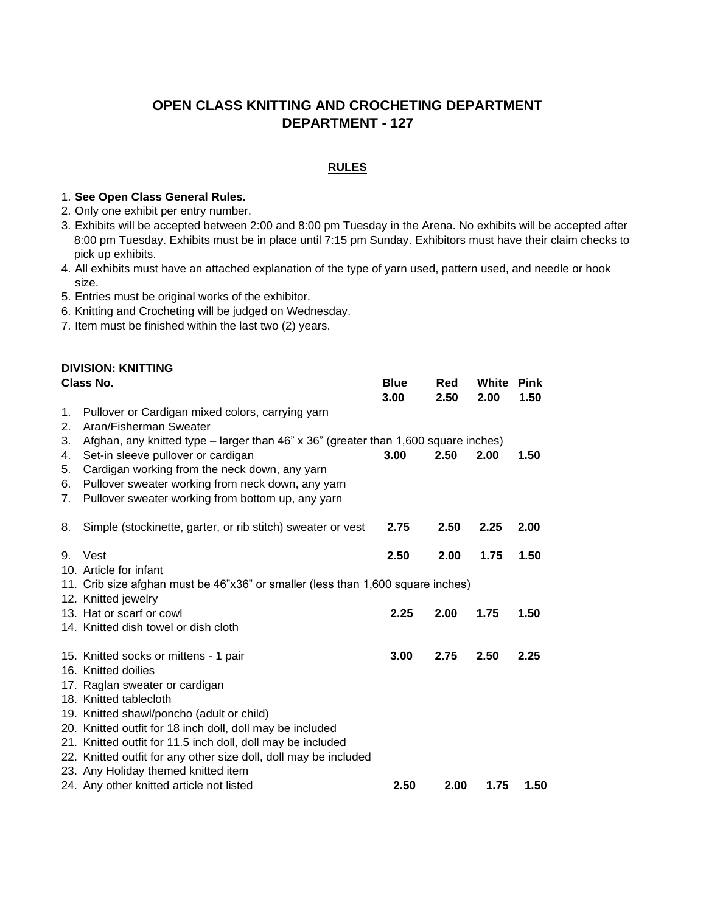# **OPEN CLASS KNITTING AND CROCHETING DEPARTMENT DEPARTMENT - 127**

#### **RULES**

### 1. **See Open Class General Rules.**

- 2. Only one exhibit per entry number.
- 3. Exhibits will be accepted between 2:00 and 8:00 pm Tuesday in the Arena. No exhibits will be accepted after 8:00 pm Tuesday. Exhibits must be in place until 7:15 pm Sunday. Exhibitors must have their claim checks to pick up exhibits.
- 4. All exhibits must have an attached explanation of the type of yarn used, pattern used, and needle or hook size.
- 5. Entries must be original works of the exhibitor.
- 6. Knitting and Crocheting will be judged on Wednesday.
- 7. Item must be finished within the last two (2) years.

| <b>DIVISION: KNITTING</b><br>Class No. |                                                                                                                                 | <b>Blue</b><br>3.00                                                             | Red<br>2.50 | White<br>2.00 | <b>Pink</b><br>1.50 |  |  |
|----------------------------------------|---------------------------------------------------------------------------------------------------------------------------------|---------------------------------------------------------------------------------|-------------|---------------|---------------------|--|--|
| 1.<br>2.                               | Pullover or Cardigan mixed colors, carrying yarn<br>Aran/Fisherman Sweater                                                      |                                                                                 |             |               |                     |  |  |
| 3.<br>4.                               | Afghan, any knitted type - larger than 46" x 36" (greater than 1,600 square inches)<br>Set-in sleeve pullover or cardigan       | 3.00                                                                            | 2.50        | 2.00          | 1.50                |  |  |
| 5.                                     | Cardigan working from the neck down, any yarn                                                                                   |                                                                                 |             |               |                     |  |  |
| 6.<br>7.                               | Pullover sweater working from neck down, any yarn<br>Pullover sweater working from bottom up, any yarn                          |                                                                                 |             |               |                     |  |  |
|                                        |                                                                                                                                 |                                                                                 |             |               |                     |  |  |
| 8.                                     | Simple (stockinette, garter, or rib stitch) sweater or vest                                                                     | 2.75                                                                            | 2.50        | 2.25          | 2.00                |  |  |
| 9.                                     | Vest                                                                                                                            | 2.50                                                                            | 2.00        | 1.75          | 1.50                |  |  |
|                                        | 10. Article for infant                                                                                                          |                                                                                 |             |               |                     |  |  |
|                                        |                                                                                                                                 | 11. Crib size afghan must be 46"x36" or smaller (less than 1,600 square inches) |             |               |                     |  |  |
|                                        | 12. Knitted jewelry                                                                                                             |                                                                                 |             |               |                     |  |  |
|                                        | 13. Hat or scarf or cowl<br>14. Knitted dish towel or dish cloth                                                                | 2.25                                                                            | 2.00        | 1.75          | 1.50                |  |  |
|                                        |                                                                                                                                 |                                                                                 |             |               |                     |  |  |
|                                        | 15. Knitted socks or mittens - 1 pair                                                                                           | 3.00                                                                            | 2.75        | 2.50          | 2.25                |  |  |
|                                        | 16. Knitted doilies                                                                                                             |                                                                                 |             |               |                     |  |  |
|                                        | 17. Raglan sweater or cardigan                                                                                                  |                                                                                 |             |               |                     |  |  |
|                                        | 18. Knitted tablecloth                                                                                                          |                                                                                 |             |               |                     |  |  |
|                                        | 19. Knitted shawl/poncho (adult or child)                                                                                       |                                                                                 |             |               |                     |  |  |
|                                        | 20. Knitted outfit for 18 inch doll, doll may be included                                                                       |                                                                                 |             |               |                     |  |  |
|                                        | 21. Knitted outfit for 11.5 inch doll, doll may be included<br>22. Knitted outfit for any other size doll, doll may be included |                                                                                 |             |               |                     |  |  |
|                                        | 23. Any Holiday themed knitted item                                                                                             |                                                                                 |             |               |                     |  |  |
|                                        | 24. Any other knitted article not listed                                                                                        | 2.50                                                                            | 2.00        | 1.75          | 1.50                |  |  |
|                                        |                                                                                                                                 |                                                                                 |             |               |                     |  |  |